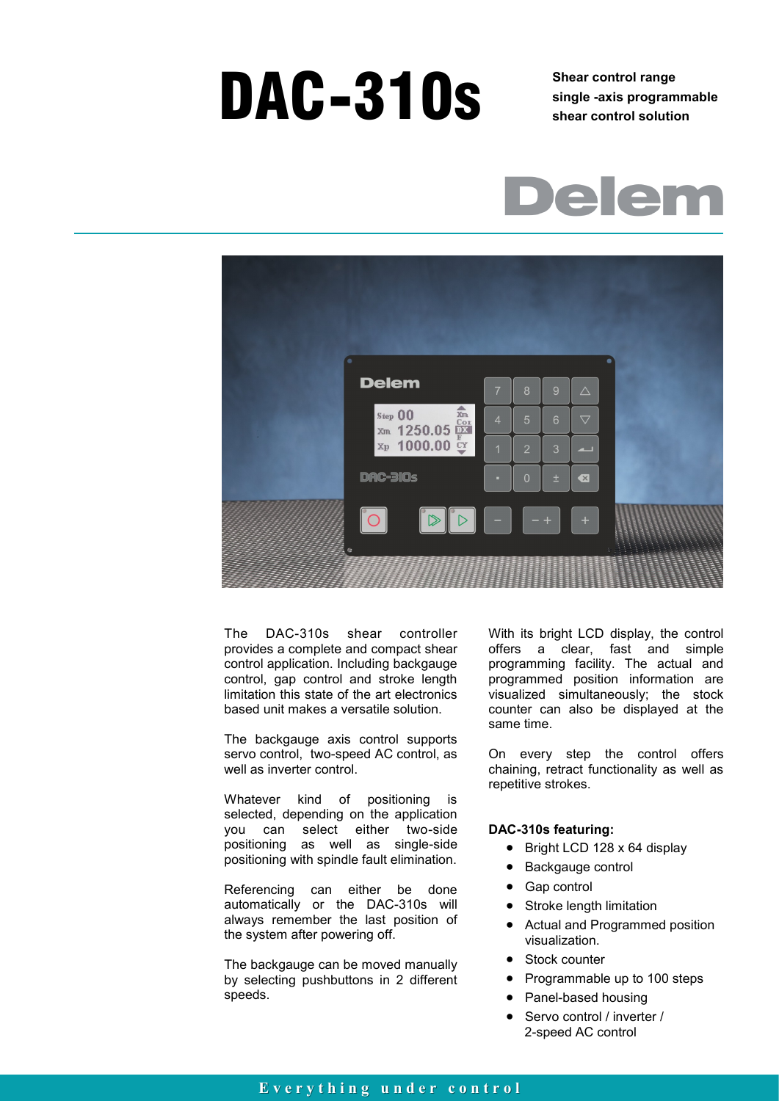# DAC-310s<br>**Shear control range**<br>shor control solution

**single -axis programmable shear control solution**





The DAC-310s shear controller provides a complete and compact shear control application. Including backgauge control, gap control and stroke length limitation this state of the art electronics based unit makes a versatile solution.

The backgauge axis control supports servo control, two-speed AC control, as well as inverter control.

Whatever kind of positioning is selected, depending on the application you can select either two-side positioning as well as single-side positioning with spindle fault elimination.

Referencing can either be done automatically or the DAC-310s will always remember the last position of the system after powering off.

The backgauge can be moved manually by selecting pushbuttons in 2 different speeds.

With its bright LCD display, the control offers a clear, fast and simple programming facility. The actual and programmed position information are visualized simultaneously; the stock counter can also be displayed at the same time.

On every step the control offers chaining, retract functionality as well as repetitive strokes.

#### **DAC-310s featuring:**

- Bright LCD 128 x 64 display
- Backgauge control
- Gap control
- Stroke length limitation
- Actual and Programmed position visualization.
- Stock counter
- Programmable up to 100 steps
- Panel-based housing
- Servo control / inverter / 2-speed AC control